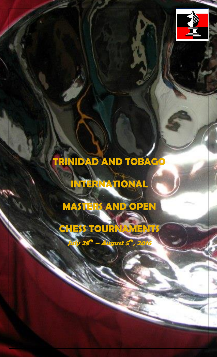

# **TRINIDAD AND TOBAGO**

١

**INTERNATIONAL** 

**MASTERS AND OPEN** 

**CHESS TOURNAMENTS**

**July 28 th – August 5 th , 2016**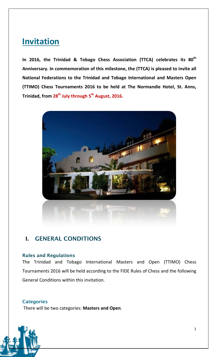## **Invitation**

**In 2016, the Trinidad & Tobago Chess Association (TTCA) celebrates its 80th Anniversary. In commemoration of this milestone, the (TTCA) is pleased to invite all National Federations to the Trinidad and Tobago International and Masters Open (TTIMO) Chess Tournaments 2016 to be held at The Normandie Hotel, St. Anns, Trinidad, from 28th July through 5 th August, 2016.**



## **I. GENERAL CONDITIONS**

## **Rules and Regulations**

The Trinidad and Tobago International Masters and Open (TTIMO) Chess Tournaments 2016 will be held according to the FIDE Rules of Chess and the following General Conditions within this invitation.

## **Categories**

There will be two categories: **Masters and Open**.

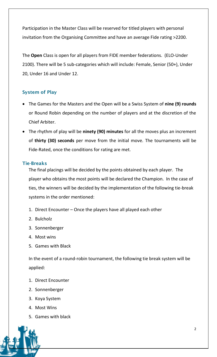Participation in the Master Class will be reserved for titled players with personal invitation from the Organising Committee and have an average Fide rating >2200.

The **Open** Class is open for all players from FIDE member federations. (ELO-Under 2100). There will be 5 sub-categories which will include: Female, Senior (50+), Under 20, Under 16 and Under 12.

## **System of Play**

- The Games for the Masters and the Open will be a Swiss System of **nine (9) rounds** or Round Robin depending on the number of players and at the discretion of the Chief Arbiter.
- The rhythm of play will be **ninety (90) minutes** for all the moves plus an increment of **thirty (30) seconds** per move from the initial move. The tournaments will be Fide-Rated, once the conditions for rating are met.

## **Tie-Breaks**

The final placings will be decided by the points obtained by each player. The player who obtains the most points will be declared the Champion. In the case of ties, the winners will be decided by the implementation of the following tie-break systems in the order mentioned:

- 1. Direct Encounter Once the players have all played each other
- 2. Bulcholz
- 3. Sonnenberger
- 4. Most wins
- 5. Games with Black

In the event of a round-robin tournament, the following tie break system will be applied:

- 1. Direct Encounter
- 2. Sonnenberger
- 3. Koya System
- 4. Most Wins
- 5. Games with black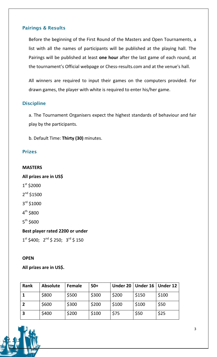## **Pairings & Results**

Before the beginning of the First Round of the Masters and Open Tournaments, a list with all the names of participants will be published at the playing hall. The Pairings will be published at least **one hour** after the last game of each round, at the tournament's Official webpage or Chess-results.com and at the venue's hall.

All winners are required to input their games on the computers provided. For drawn games, the player with white is required to enter his/her game.

## **Discipline**

a. The Tournament Organisers expect the highest standards of behaviour and fair play by the participants.

b. Default Time: **Thirty (30)** minutes.

## **Prizes**

#### **MASTERS**

**All prizes are in US\$**

- 1 st \$2000
- 2<sup>nd</sup> \$1500
- 3<sup>rd</sup> \$1000
- 4<sup>th</sup> \$800

5<sup>th</sup> \$600

## **Best player rated 2200 or under**

 $1^{\text{st}}$  \$400;  $2^{\text{nd}}$  \$ 250;  $3^{\text{rd}}$  \$ 150

## **OPEN**

**All prizes are in US\$.**

| <b>Rank</b> | <b>Absolute</b> | Female | $50+$ |       | Under 20 $\vert$ Under 16 | Under 12 |
|-------------|-----------------|--------|-------|-------|---------------------------|----------|
|             | \$800           | \$500  | \$300 | \$200 | \$150                     | \$100    |
|             | \$600           | \$300  | \$200 | \$100 | \$100                     | \$50     |
|             | \$400           | \$200  | \$100 | \$75  | \$50                      | \$25     |

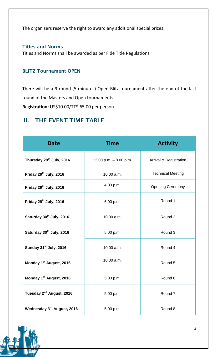The organisers reserve the right to award any additional special prizes.

## **Titles and Norms**

Titles and Norms shall be awarded as per Fide Title Regulations.

## **BLITZ Tournament-OPEN**

There will be a 9-round (5 minutes) Open Blitz tournament after the end of the last round of the Masters and Open tournaments.

**Registration:** US\$10.00/TT\$ 65.00 per person

## **II. THE EVENT TIME TABLE**

| <b>Date</b>                          | <b>Time</b>             | <b>Activity</b>                   |  |
|--------------------------------------|-------------------------|-----------------------------------|--|
| Thursday 28 <sup>th</sup> July, 2016 | 12.00 p.m. $-8.00$ p.m. | <b>Arrival &amp; Registration</b> |  |
| Friday 29 <sup>th</sup> July, 2016   | 10.00 a.m.              | <b>Technical Meeting</b>          |  |
| Friday 29th July, 2016               | 4.00 p.m.               | <b>Opening Ceremony</b>           |  |
| Friday 29th July, 2016               | 6.00 p.m.               | Round 1                           |  |
| Saturday 30th July, 2016             | 10.00 a.m.              | Round 2                           |  |
| Saturday 30th July, 2016             | 5.00 p.m.               | Round 3                           |  |
| Sunday 31st July, 2016               | 10.00 a.m.              | Round 4                           |  |
| Monday 1 <sup>st</sup> August, 2016  | 10.00 a.m.              | Round 5                           |  |
| Monday 1 <sup>st</sup> August, 2016  | 5.00 p.m.               | Round 6                           |  |
| Tuesday 2 <sup>nd</sup> August, 2016 | 5.00 p.m.               | Round 7                           |  |
| Wednesday 3rd August, 2016           | 5.00 p.m.               | Round 8                           |  |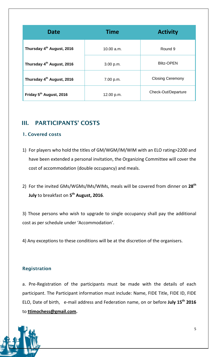| <b>Date</b>                           | <b>Time</b> | <b>Activity</b>         |  |
|---------------------------------------|-------------|-------------------------|--|
| Thursday 4 <sup>th</sup> August, 2016 | 10.00 a.m.  | Round 9                 |  |
| Thursday 4 <sup>th</sup> August, 2016 | 3.00 p.m.   | <b>Blitz-OPEN</b>       |  |
| Thursday 4 <sup>th</sup> August, 2016 | 7.00 p.m.   | <b>Closing Ceremony</b> |  |
| Friday 5 <sup>th</sup> August, 2016   | 12.00 p.m.  | Check-Out/Departure     |  |

## **III. PARTICIPANTS' COSTS**

## **1. Covered costs**

- 1) For players who hold the titles of GM/WGM/IM/WIM with an ELO rating>2200 and have been extended a personal invitation, the Organizing Committee will cover the cost of accommodation (double occupancy) and meals.
- 2) For the invited GMs/WGMs/IMs/WIMs, meals will be covered from dinner on **28th July** to breakfast on **5 th August, 2016**.

3) Those persons who wish to upgrade to single occupancy shall pay the additional cost as per schedule under 'Accommodation'.

4) Any exceptions to these conditions will be at the discretion of the organisers.

## **Registration**

a. Pre-Registration of the participants must be made with the details of each participant. The Participant information must include: Name, FIDE Title, FIDE ID, FIDE ELO, Date of birth, e-mail address and Federation name, on or before **July 15th 2016** to **[ttimochess@gmail.com.](mailto:ttimochess@gmail.com)**

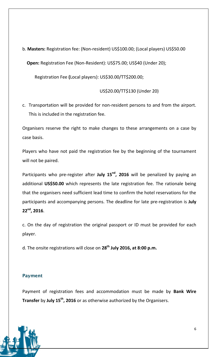b. **Masters:** Registration fee: (Non-resident) US\$100.00; (Local players) US\$50.00

 **Open:** Registration Fee (Non-Resident): US\$75.00; US\$40 (Under 20);

Registration Fee **(**Local players): US\$30.00/TT\$200.00;

US\$20.00/TT\$130 (Under 20)

c. Transportation will be provided for non-resident persons to and from the airport. This is included in the registration fee.

Organisers reserve the right to make changes to these arrangements on a case by case basis.

Players who have not paid the registration fee by the beginning of the tournament will not be paired.

Participants who pre-register after **July 15nd, 2016** will be penalized by paying an additional **US\$50.00** which represents the late registration fee. The rationale being that the organisers need sufficient lead time to confirm the hotel reservations for the participants and accompanying persons. The deadline for late pre-registration is **July 22nd, 2016**.

c. On the day of registration the original passport or ID must be provided for each player.

d. The onsite registrations will close on **28th July 2016, at 8:00 p.m.**

## **Payment**

Payment of registration fees and accommodation must be made by **Bank Wire Transfer** by **July 15th, 2016** or as otherwise authorized by the Organisers.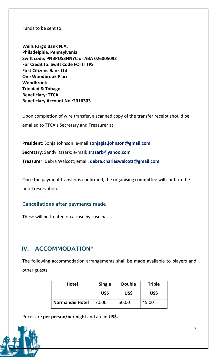Funds to be sent to:

**Wells Fargo Bank N.A. Philadelphia, Pennsylvania Swift code: PNBPUS3NNYC or ABA 026005092 For Credit to: Swift Code FCTTTTPS First Citizens Bank Ltd. One Woodbrook Place Woodbrook Trinidad & Tobago Beneficiary: TTCA Beneficiary Account No.:2016303**

Upon completion of wire transfer, a scanned copy of the transfer receipt should be emailed to TTCA's Secretary and Treasurer at:

**President:** Sonja Johnson; e-mail:**sonjagia.johnson@gmail.com Secretary**: Sandy Razark; e-mail: **srazark@yahoo.com Treasurer**: Debra Walcott; email: **debra.charleswalcott@gmail.com**

Once the payment transfer is confirmed, the organising committee will confirm the hotel reservation.

## **Cancellations after payments made**

These will be treated on a case by case basis.

## **IV. ACCOMMODATION\***

The following accommodation arrangements shall be made available to players and other guests.

| <b>Hotel</b>           | <b>Single</b><br><b>Double</b> |       | <b>Triple</b> |
|------------------------|--------------------------------|-------|---------------|
|                        | US\$                           | US\$  | US\$          |
| <b>Normandie Hotel</b> | 70.00                          | 50.00 | 45.00         |

Prices are **per person/per night** and are in **US\$.**

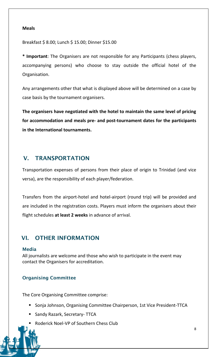#### **Meals**

Breakfast \$ 8.00; Lunch \$ 15.00; Dinner \$15.00

**\* Important**: The Organisers are not responsible for any Participants (chess players, accompanying persons) who choose to stay outside the official hotel of the Organisation.

Any arrangements other that what is displayed above will be determined on a case by case basis by the tournament organisers.

**The organisers have negotiated with the hotel to maintain the same level of pricing for accommodation and meals pre- and post-tournament dates for the participants in the International tournaments.** 

## **V. TRANSPORTATION**

Transportation expenses of persons from their place of origin to Trinidad (and vice versa), are the responsibility of each player/federation.

Transfers from the airport-hotel and hotel-airport (round trip) will be provided and are included in the registration costs. Players must inform the organisers about their flight schedules **at least 2 weeks** in advance of arrival.

## **VI. OTHER INFORMATION**

## **Media**

All journalists are welcome and those who wish to participate in the event may contact the Organisers for accreditation.

## **Organising Committee**

The Core Organising Committee comprise:

- Sonja Johnson, Organising Committee Chairperson, 1st Vice President-TTCA
- **Sandy Razark, Secretary- TTCA**
- Roderick Noel-VP of Southern Chess Club